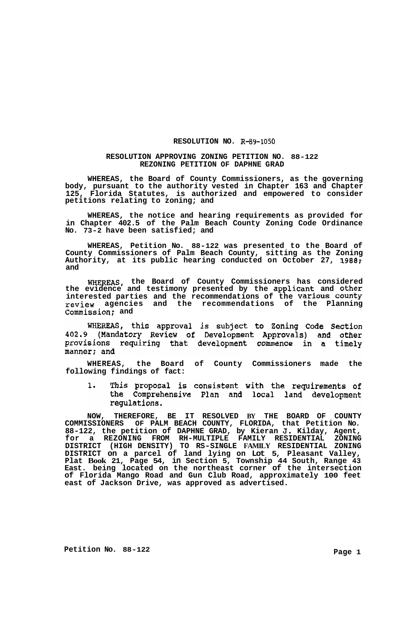## **RESOLUTION NO. R-89-1050**

## **RESOLUTION APPROVING ZONING PETITION NO. 88-122 REZONING PETITION OF DAPHNE GRAD**

**WHEREAS, the Board of County Commissioners, as the governing body, pursuant to the authority vested in Chapter 163 and Chapter 125, Florida Statutes, is authorized and empowered to consider petitions relating to zoning; and** 

**WHEREAS, the notice and hearing requirements as provided for in Chapter 402.5 of the Palm Beach County Zoning Code Ordinance No. 73-2 have been satisfied; and** 

**WHEREAS, Petition No. 88-122 was presented to the Board of County Commissioners of Palm Beach County, sitting as the Zoning Authority, at its public hearing conducted on October 27, 1988; and** 

**WHEREAS, the Board of County Commissioners has considered the evidence and testimony presented by the applicant and other interested parties and the recommendations of the Various County review agencies and the recommendations of the Planning Commission; and** 

WHEREAS, this approval is subject to Zoning Code Section 402.9 (Mandatory Review of Development Approvals) and other provisions requiring that development commence in a timely manner; and

**WHEREAS, the Board of County Commissioners made the following findings of fact:** 

 $\mathbf 1$ . This proposal is consistent with the requirements of the Comprehensive Plan and local land development regulations.

**NOW, THEREFORE, BE IT RESOLVED BY THE BOARD OF COUNTY COMMISSIONERS OF PALM BEACH COUNTY, FLORIDA, that Petition No. 88-122, the petition of DAPHNE GRAD, by Kieran J. Kilday, Agent, for a REZONING FROM RH-MULTIPLE FAMILY RESIDENTIAL ZONING DISTRICT (HIGH DENSITY) TO RS-SINGLE FAMILY RESIDENTIAL ZONING DISTRICT on a parcel of land lying on Lot 5, Pleasant Valley, Plat Book 21, Page 54, in Section 5, Township 44 South, Range 43 East. being located on the northeast corner of the intersection of Florida Mango Road and Gun Club Road, approximately 100 feet east of Jackson Drive, was approved as advertised.**